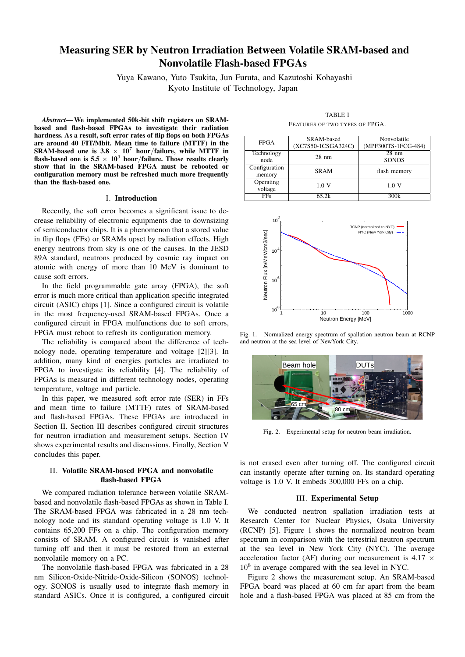# Measuring SER by Neutron Irradiation Between Volatile SRAM-based and Nonvolatile Flash-based FPGAs

Yuya Kawano, Yuto Tsukita, Jun Furuta, and Kazutoshi Kobayashi Kyoto Institute of Technology, Japan

*Abstract*—We implemented 50k-bit shift registers on SRAMbased and flash-based FPGAs to investigate their radiation hardness. As a result, soft error rates of flip flops on both FPGAs are around 40 FIT/Mbit. Mean time to failure (MTTF) in the SRAM-based one is  $3.8 \times 10^7$  hour/failure, while MTTF in flash-based one is  $5.5 \times 10^9$  hour/failure. Those results clearly show that in the SRAM-based FPGA must be rebooted or configuration memory must be refreshed much more frequently than the flash-based one.

## I. Introduction

Recently, the soft error becomes a significant issue to decrease reliability of electronic equipments due to downsizing of semiconductor chips. It is a phenomenon that a stored value in flip flops (FFs) or SRAMs upset by radiation effects. High energy neutrons from sky is one of the causes. In the JESD 89A standard, neutrons produced by cosmic ray impact on atomic with energy of more than 10 MeV is dominant to cause soft errors.

In the field programmable gate array (FPGA), the soft error is much more critical than application specific integrated circuit (ASIC) chips [1]. Since a configured circuit is volatile in the most frequency-used SRAM-based FPGAs. Once a configured circuit in FPGA mulfunctions due to soft errors, FPGA must reboot to refresh its configuration memory.

The reliability is compared about the difference of technology node, operating temperature and voltage [2][3]. In addition, many kind of energies particles are irradiated to FPGA to investigate its reliability [4]. The reliability of FPGAs is measured in different technology nodes, operating temperature, voltage and particle.

In this paper, we measured soft error rate (SER) in FFs and mean time to failure (MTTF) rates of SRAM-based and flash-based FPGAs. These FPGAs are introduced in Section II. Section III describes configured circuit structures for neutron irradiation and measurement setups. Section IV shows experimental results and discussions. Finally, Section V concludes this paper.

# II. Volatile SRAM-based FPGA and nonvolatile flash-based FPGA

We compared radiation tolerance between volatile SRAMbased and nonvolatile flash-based FPGAs as shown in Table I. The SRAM-based FPGA was fabricated in a 28 nm technology node and its standard operating voltage is 1.0 V. It contains 65,200 FFs on a chip. The configuration memory consists of SRAM. A configured circuit is vanished after turning off and then it must be restored from an external nonvolatile memory on a PC.

The nonvolatile flash-based FPGA was fabricated in a 28 nm Silicon-Oxide-Nitride-Oxide-Silicon (SONOS) technology. SONOS is usually used to integrate flash memory in standard ASICs. Once it is configured, a configured circuit

TABLE I FEATURES OF TWO TYPES OF FPGA.

| <b>FPGA</b>   | SRAM-based         | Nonvolatile         |  |
|---------------|--------------------|---------------------|--|
|               | (XC7S50-1CSGA324C) | (MPF300TS-1FCG-484) |  |
| Technology    | $28$ nm            | $28 \text{ nm}$     |  |
| node          |                    | <b>SONOS</b>        |  |
| Configuration | <b>SRAM</b>        | flash memory        |  |
| memory        |                    |                     |  |
| Operating     | 1.0 V              | 1.0 V               |  |
| voltage       |                    |                     |  |
| <b>FFs</b>    | 65.2k              | 300k                |  |



Fig. 1. Normalized energy spectrum of spallation neutron beam at RCNP and neutron at the sea level of NewYork City.



Fig. 2. Experimental setup for neutron beam irradiation.

is not erased even after turning off. The configured circuit can instantly operate after turning on. Its standard operating voltage is 1.0 V. It embeds 300,000 FFs on a chip.

### III. Experimental Setup

We conducted neutron spallation irradiation tests at Research Center for Nuclear Physics, Osaka University (RCNP) [5]. Figure 1 shows the normalized neutron beam spectrum in comparison with the terrestrial neutron spectrum at the sea level in New York City (NYC). The average acceleration factor (AF) during our measurement is 4.17 *×* 10<sup>8</sup> in average compared with the sea level in NYC.

Figure 2 shows the measurement setup. An SRAM-based FPGA board was placed at 60 cm far apart from the beam hole and a flash-based FPGA was placed at 85 cm from the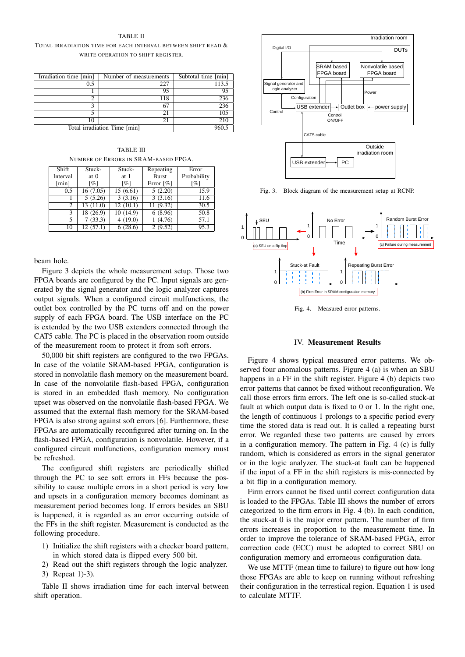#### TABLE II

TOTAL IRRADIATION TIME FOR EACH INTERVAL BETWEEN SHIFT READ & WRITE OPERATION TO SHIFT REGISTER.

| Irradiation time [min]       | Number of measurements | Subtotal time [min] |
|------------------------------|------------------------|---------------------|
|                              |                        |                     |
| 0.5                          | 227                    | 113.5               |
|                              |                        |                     |
|                              | 95                     | 95                  |
| ∍                            | 118                    |                     |
|                              |                        | 236                 |
|                              | 67                     | 236                 |
|                              |                        |                     |
|                              | 21                     | 105                 |
|                              |                        |                     |
| 10                           | 21                     | 210                 |
|                              |                        |                     |
| Total irradiation Time [min] |                        | 960 5               |
|                              |                        |                     |

TABLE III NUMBER OF ERRORS IN SRAM-BASED FPGA.

| Shift    | Stuck-      | Stuck-   | Repeating                | Error              |
|----------|-------------|----------|--------------------------|--------------------|
| Interval | at $\theta$ | at 1     | <b>Burst</b>             | Probability        |
| [min]    | [%]         | [%]      | Error $\lceil \% \rceil$ | $\lceil \% \rceil$ |
| 0.5      | 16(7.05)    | 15(6.61) | 5(2.20)                  | 15.9               |
|          | 5(5.26)     | 3(3.16)  | 3(3.16)                  | 11.6               |
| 2        | 13(11.0)    | 12(10.1) | 11(9.32)                 | 30.5               |
| 3        | 18 (26.9)   | 10(14.9) | 6(8.96)                  | 50.8               |
| 5.       | 7(33.3)     | 4(19.0)  | (4.76)                   | 57.1               |
| 10       | 12(57.1)    | 6(28.6)  | 2(9.52)                  | 95.3               |

beam hole.

Figure 3 depicts the whole measurement setup. Those two FPGA boards are configured by the PC. Input signals are generated by the signal generator and the logic analyzer captures output signals. When a configured circuit mulfunctions, the outlet box controlled by the PC turns off and on the power supply of each FPGA board. The USB interface on the PC is extended by the two USB extenders connected through the CAT5 cable. The PC is placed in the observation room outside of the measurement room to protect it from soft errors.

50,000 bit shift registers are configured to the two FPGAs. In case of the volatile SRAM-based FPGA, configuration is stored in nonvolatile flash memory on the measurement board. In case of the nonvolatile flash-based FPGA, configuration is stored in an embedded flash memory. No configuration upset was observed on the nonvolatile flash-based FPGA. We assumed that the external flash memory for the SRAM-based FPGA is also strong against soft errors [6]. Furthermore, these FPGAs are automatically reconfigured after turning on. In the flash-based FPGA, configuration is nonvolatile. However, if a configured circuit mulfunctions, configuration memory must be refreshed.

The configured shift registers are periodically shifted through the PC to see soft errors in FFs because the possibility to cause multiple errors in a short period is very low and upsets in a configuration memory becomes dominant as measurement period becomes long. If errors besides an SBU is happened, it is regarded as an error occurring outside of the FFs in the shift register. Measurement is conducted as the following procedure.

- 1) Initialize the shift registers with a checker board pattern, in which stored data is flipped every 500 bit.
- 2) Read out the shift registers through the logic analyzer. 3) Repeat 1)-3).

Table II shows irradiation time for each interval between shift operation.



Fig. 3. Block diagram of the measurement setup at RCNP.



Fig. 4. Measured error patterns.

## IV. Measurement Results

Figure 4 shows typical measured error patterns. We observed four anomalous patterns. Figure 4 (a) is when an SBU happens in a FF in the shift register. Figure 4 (b) depicts two error patterns that cannot be fixed without reconfiguration. We call those errors firm errors. The left one is so-called stuck-at fault at which output data is fixed to 0 or 1. In the right one, the length of continuous 1 prolongs to a specific period every time the stored data is read out. It is called a repeating burst error. We regarded these two patterns are caused by errors in a configuration memory. The pattern in Fig. 4 (c) is fully random, which is considered as errors in the signal generator or in the logic analyzer. The stuck-at fault can be happened if the input of a FF in the shift registers is mis-connected by a bit flip in a configuration memory.

Firm errors cannot be fixed until correct configuration data is loaded to the FPGAs. Table III shows the number of errors categorized to the firm errors in Fig. 4 (b). In each condition, the stuck-at 0 is the major error pattern. The number of firm errors increases in proportion to the measurement time. In order to improve the tolerance of SRAM-based FPGA, error correction code (ECC) must be adopted to correct SBU on configuration memory and errorneous configuration data.

We use MTTF (mean time to failure) to figure out how long those FPGAs are able to keep on running without refreshing their configuration in the terrestical region. Equation 1 is used to calculate MTTF.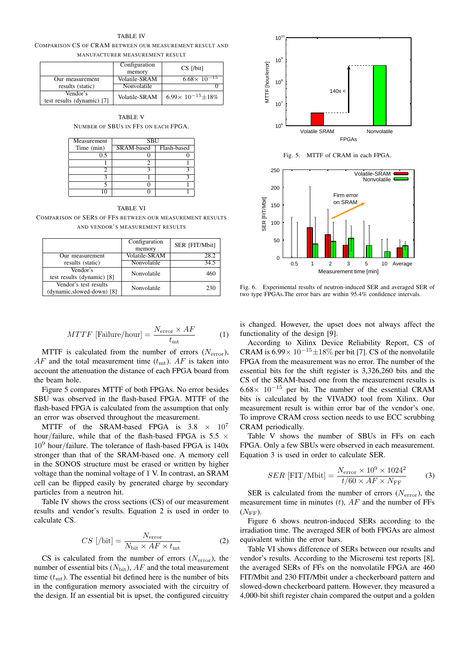TABLE IV COMPARISON CS OF CRAM BETWEEN OUR MEASUREMENT RESULT AND MANUFACTURER MEASUREMENT RESULT

|                                        | Configuration        | CS [/bit]                     |
|----------------------------------------|----------------------|-------------------------------|
|                                        | memory               |                               |
| Our measurement                        | <b>Volatile-SRAM</b> | $6.68 \times 10^{-15}$        |
| results (static)                       | Nonvolatile          |                               |
| Vendor's<br>test results (dynamic) [7] | Volatile-SRAM        | $6.99 \times 10^{-15} + 18\%$ |

TABLE V NUMBER OF SBUS IN FFS ON EACH FPGA.

| Measurement | <b>SBU</b> |             |
|-------------|------------|-------------|
| Time (min)  | SRAM-based | Flash-based |
| ი 5         |            |             |
|             |            |             |
|             |            |             |
|             |            |             |
|             |            |             |
|             |            |             |

TABLE VI

COMPARISON OF SERS OF FFS BETWEEN OUR MEASUREMENT RESULTS AND VENDOR'S MEASUREMENT RESULTS

|                                                     | Configuration<br>memory | SER [FIT/Mbit] |
|-----------------------------------------------------|-------------------------|----------------|
| Our measurement                                     | Volatile-SRAM           | 28.2           |
| results (static)                                    | Nonvolatile             | 34.5           |
| Vendor's<br>test results (dynamic) [8]              | Nonvolatile             | 460            |
| Vendor's test results<br>(dynamic, slowed-down) [8] | Nonvolatile             | 230            |

$$
MTTF \text{ [Failure/hour]} = \frac{N_{\text{error}} \times AF}{t_{\text{mt}}} \tag{1}
$$

MTTF is calculated from the number of errors (*N*error),  $AF$  and the total measurement time  $(t_{\text{mt}})$ .  $AF$  is taken into account the attenuation the distance of each FPGA board from the beam hole.

Figure 5 compares MTTF of both FPGAs. No error besides SBU was observed in the flash-based FPGA. MTTF of the flash-based FPGA is calculated from the assumption that only an error was observed throughout the measurement.

MTTF of the SRAM-based FPGA is  $3.8 \times 10^7$ hour*/*failure, while that of the flash-based FPGA is 5.5 *×* 10<sup>9</sup> hour*/*failure. The tolerance of flash-based FPGA is 140x stronger than that of the SRAM-based one. A memory cell in the SONOS structure must be erased or written by higher voltage than the nominal voltage of 1 V. In contrast, an SRAM cell can be flipped easily by generated charge by secondary particles from a neutron hit.

Table IV shows the cross sections (CS) of our measurement results and vendor's results. Equation 2 is used in order to calculate CS.

$$
CS\text{ }[\text{/bit]} = \frac{N_{\text{error}}}{N_{\text{bit}} \times AF \times t_{\text{mt}}} \tag{2}
$$

CS is calculated from the number of errors (*N*error), the number of essential bits  $(N_{\text{bit}})$ ,  $AF$  and the total measurement time  $(t<sub>mt</sub>)$ . The essential bit defined here is the number of bits in the configuration memory associated with the circuitry of the design. If an essential bit is upset, the configured circuitry



Fig. 5. MTTF of CRAM in each FPGA.



Fig. 6. Experimental results of neutron-induced SER and averaged SER of two type FPGAs.The error bars are within 95.4% confidence intervals.

is changed. However, the upset does not always affect the functionality of the design [9].

According to Xilinx Device Reliability Report, CS of CRAM is 6.99*<sup>×</sup>* <sup>10</sup>*−*<sup>15</sup>*±*18% per bit [7]. CS of the nonvolatile FPGA from the measurement was no error. The number of the essential bits for the shift register is 3,326,260 bits and the CS of the SRAM-based one from the measurement results is 6.68*<sup>×</sup>* <sup>10</sup>*−*<sup>15</sup> per bit. The number of the essential CRAM bits is calculated by the VIVADO tool from Xilinx. Our measurement result is within error bar of the vendor's one. To improve CRAM cross section needs to use ECC scrubbing CRAM periodically.

Table V shows the number of SBUs in FFs on each FPGA. Only a few SBUs were observed in each measurement. Equation 3 is used in order to calculate SER.

$$
SER \text{ [FIT/Mbit]} = \frac{N_{\text{error}} \times 10^9 \times 1024^2}{t/60 \times AF \times N_{\text{FF}}} \tag{3}
$$

SER is calculated from the number of errors  $(N<sub>error</sub>)$ , the measurement time in minutes (*t*), *AF* and the number of FFs  $(N_{\text{FF}})$ .

Figure 6 shows neutron-induced SERs according to the irradiation time. The averaged SER of both FPGAs are almost equivalent within the error bars.

Table VI shows difference of SERs between our results and vendor's results. According to the Microsemi test reports [8], the averaged SERs of FFs on the nonvolatile FPGA are 460 FIT/Mbit and 230 FIT/Mbit under a checkerboard pattern and slowed-down checkerboard pattern. However, they measured a 4,000-bit shift register chain compared the output and a golden